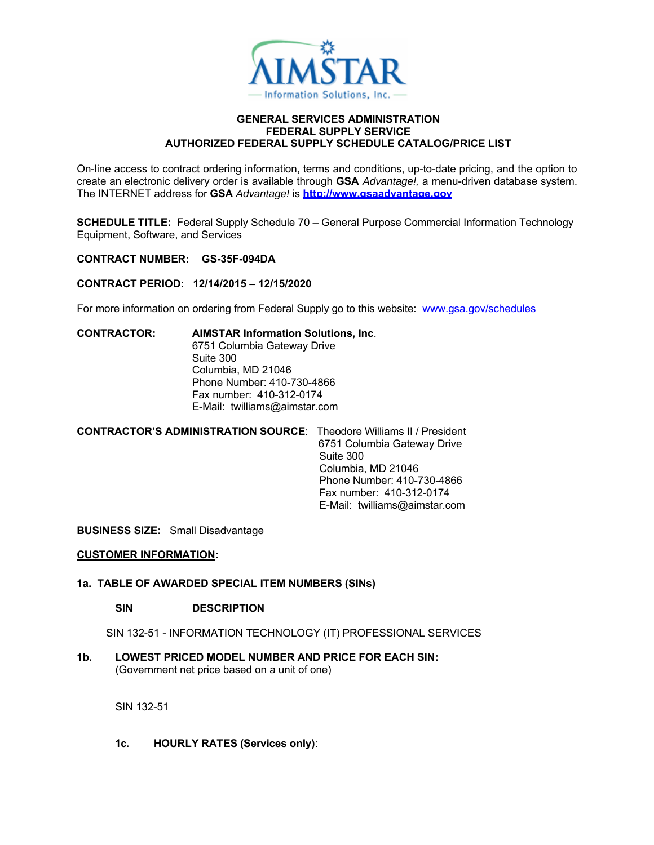

#### **GENERAL SERVICES ADMINISTRATION FEDERAL SUPPLY SERVICE AUTHORIZED FEDERAL SUPPLY SCHEDULE CATALOG/PRICE LIST**

On-line access to contract ordering information, terms and conditions, up-to-date pricing, and the option to create an electronic delivery order is available through **GSA** *Advantage!,* a menu-driven database system. The INTERNET address for **GSA** *Advantage!* is **http://www.gsaadvantage.gov**

**SCHEDULE TITLE:** Federal Supply Schedule 70 – General Purpose Commercial Information Technology Equipment, Software, and Services

**CONTRACT NUMBER: GS-35F-094DA** 

## **CONTRACT PERIOD: 12/14/2015 – 12/15/2020**

For more information on ordering from Federal Supply go to this website: www.gsa.gov/schedules

**CONTRACTOR: AIMSTAR Information Solutions, Inc**. 6751 Columbia Gateway Drive Suite 300 Columbia, MD 21046 Phone Number: 410-730-4866 Fax number: 410-312-0174 E-Mail: twilliams@aimstar.com

**CONTRACTOR'S ADMINISTRATION SOURCE**: Theodore Williams II / President 6751 Columbia Gateway Drive Suite 300 Columbia, MD 21046 Phone Number: 410-730-4866 Fax number: 410-312-0174 E-Mail: twilliams@aimstar.com

**BUSINESS SIZE:** Small Disadvantage

## **CUSTOMER INFORMATION:**

## **1a. TABLE OF AWARDED SPECIAL ITEM NUMBERS (SINs)**

## **SIN DESCRIPTION**

SIN 132-51 - INFORMATION TECHNOLOGY (IT) PROFESSIONAL SERVICES

# **1b. LOWEST PRICED MODEL NUMBER AND PRICE FOR EACH SIN:**

(Government net price based on a unit of one)

SIN 132-51

**1c. HOURLY RATES (Services only)**: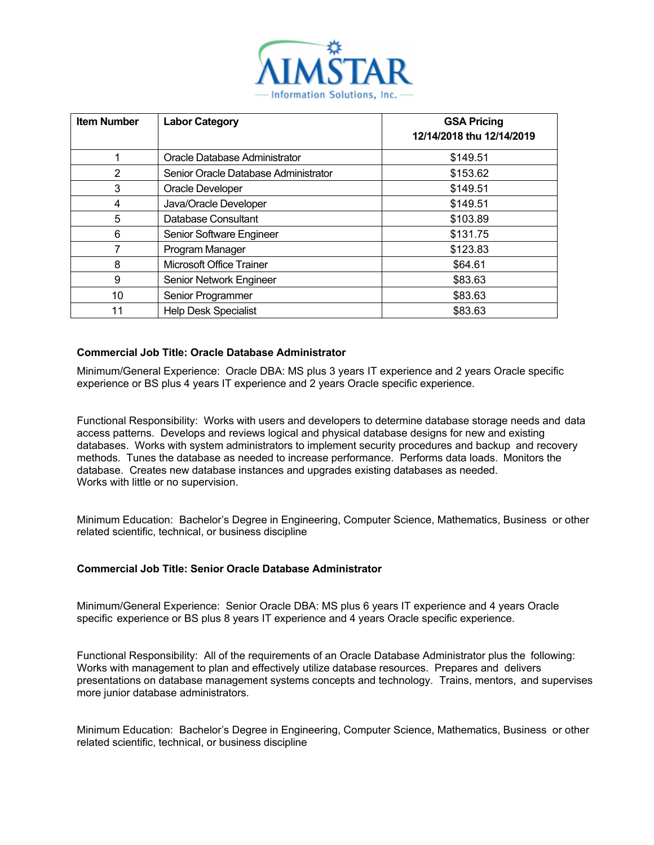

| <b>Item Number</b> | <b>Labor Category</b>                | <b>GSA Pricing</b><br>12/14/2018 thu 12/14/2019 |
|--------------------|--------------------------------------|-------------------------------------------------|
|                    | Oracle Database Administrator        | \$149.51                                        |
| 2                  | Senior Oracle Database Administrator | \$153.62                                        |
| 3                  | Oracle Developer                     | \$149.51                                        |
| 4                  | Java/Oracle Developer                | \$149.51                                        |
| 5                  | Database Consultant                  | \$103.89                                        |
| 6                  | Senior Software Engineer             | \$131.75                                        |
|                    | Program Manager                      | \$123.83                                        |
| 8                  | Microsoft Office Trainer             | \$64.61                                         |
| 9                  | Senior Network Engineer              | \$83.63                                         |
| 10                 | Senior Programmer                    | \$83.63                                         |
| 11                 | <b>Help Desk Specialist</b>          | \$83.63                                         |

## **Commercial Job Title: Oracle Database Administrator**

Minimum/General Experience: Oracle DBA: MS plus 3 years IT experience and 2 years Oracle specific experience or BS plus 4 years IT experience and 2 years Oracle specific experience.

Functional Responsibility: Works with users and developers to determine database storage needs and data access patterns. Develops and reviews logical and physical database designs for new and existing databases. Works with system administrators to implement security procedures and backup and recovery methods. Tunes the database as needed to increase performance. Performs data loads. Monitors the database. Creates new database instances and upgrades existing databases as needed. Works with little or no supervision.

Minimum Education: Bachelor's Degree in Engineering, Computer Science, Mathematics, Business or other related scientific, technical, or business discipline

## **Commercial Job Title: Senior Oracle Database Administrator**

Minimum/General Experience: Senior Oracle DBA: MS plus 6 years IT experience and 4 years Oracle specific experience or BS plus 8 years IT experience and 4 years Oracle specific experience.

Functional Responsibility: All of the requirements of an Oracle Database Administrator plus the following: Works with management to plan and effectively utilize database resources. Prepares and delivers presentations on database management systems concepts and technology. Trains, mentors, and supervises more junior database administrators.

Minimum Education: Bachelor's Degree in Engineering, Computer Science, Mathematics, Business or other related scientific, technical, or business discipline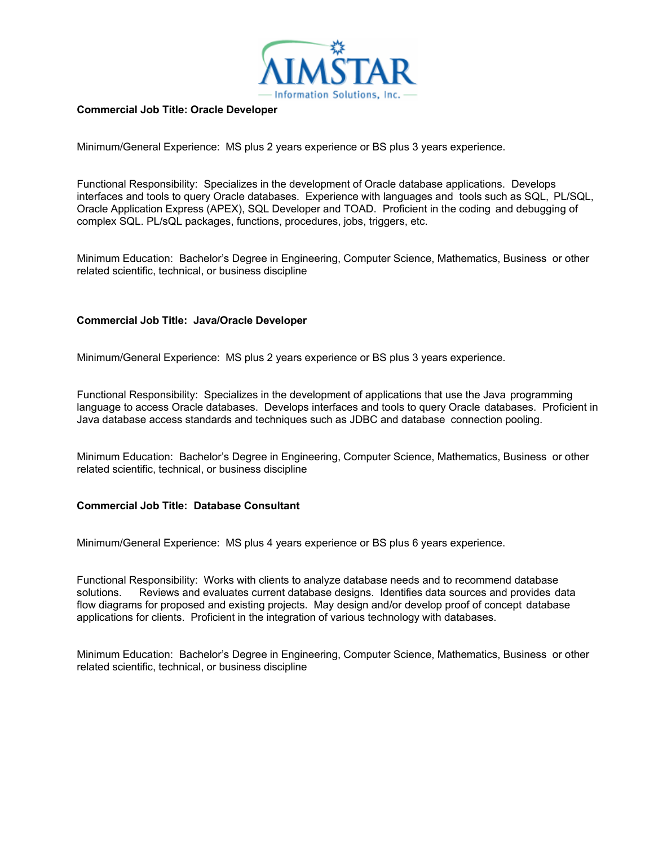

## **Commercial Job Title: Oracle Developer**

Minimum/General Experience: MS plus 2 years experience or BS plus 3 years experience.

Functional Responsibility: Specializes in the development of Oracle database applications. Develops interfaces and tools to query Oracle databases. Experience with languages and tools such as SQL, PL/SQL, Oracle Application Express (APEX), SQL Developer and TOAD. Proficient in the coding and debugging of complex SQL. PL/sQL packages, functions, procedures, jobs, triggers, etc.

Minimum Education: Bachelor's Degree in Engineering, Computer Science, Mathematics, Business or other related scientific, technical, or business discipline

## **Commercial Job Title: Java/Oracle Developer**

Minimum/General Experience: MS plus 2 years experience or BS plus 3 years experience.

Functional Responsibility: Specializes in the development of applications that use the Java programming language to access Oracle databases. Develops interfaces and tools to query Oracle databases. Proficient in Java database access standards and techniques such as JDBC and database connection pooling.

Minimum Education: Bachelor's Degree in Engineering, Computer Science, Mathematics, Business or other related scientific, technical, or business discipline

## **Commercial Job Title: Database Consultant**

Minimum/General Experience: MS plus 4 years experience or BS plus 6 years experience.

Functional Responsibility: Works with clients to analyze database needs and to recommend database solutions. Reviews and evaluates current database designs. Identifies data sources and provides data flow diagrams for proposed and existing projects. May design and/or develop proof of concept database applications for clients. Proficient in the integration of various technology with databases.

Minimum Education: Bachelor's Degree in Engineering, Computer Science, Mathematics, Business or other related scientific, technical, or business discipline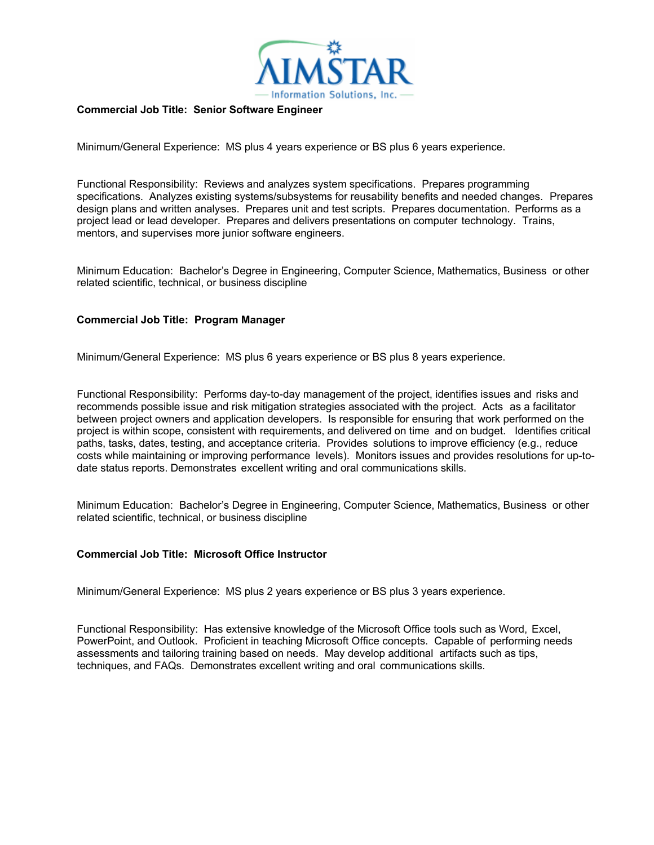

#### **Commercial Job Title: Senior Software Engineer**

Minimum/General Experience: MS plus 4 years experience or BS plus 6 years experience.

Functional Responsibility: Reviews and analyzes system specifications. Prepares programming specifications. Analyzes existing systems/subsystems for reusability benefits and needed changes. Prepares design plans and written analyses. Prepares unit and test scripts. Prepares documentation. Performs as a project lead or lead developer. Prepares and delivers presentations on computer technology. Trains, mentors, and supervises more junior software engineers.

Minimum Education: Bachelor's Degree in Engineering, Computer Science, Mathematics, Business or other related scientific, technical, or business discipline

#### **Commercial Job Title: Program Manager**

Minimum/General Experience: MS plus 6 years experience or BS plus 8 years experience.

Functional Responsibility: Performs day-to-day management of the project, identifies issues and risks and recommends possible issue and risk mitigation strategies associated with the project. Acts as a facilitator between project owners and application developers. Is responsible for ensuring that work performed on the project is within scope, consistent with requirements, and delivered on time and on budget. Identifies critical paths, tasks, dates, testing, and acceptance criteria. Provides solutions to improve efficiency (e.g., reduce costs while maintaining or improving performance levels). Monitors issues and provides resolutions for up-todate status reports. Demonstrates excellent writing and oral communications skills.

Minimum Education: Bachelor's Degree in Engineering, Computer Science, Mathematics, Business or other related scientific, technical, or business discipline

## **Commercial Job Title: Microsoft Office Instructor**

Minimum/General Experience: MS plus 2 years experience or BS plus 3 years experience.

Functional Responsibility: Has extensive knowledge of the Microsoft Office tools such as Word, Excel, PowerPoint, and Outlook. Proficient in teaching Microsoft Office concepts. Capable of performing needs assessments and tailoring training based on needs. May develop additional artifacts such as tips, techniques, and FAQs. Demonstrates excellent writing and oral communications skills.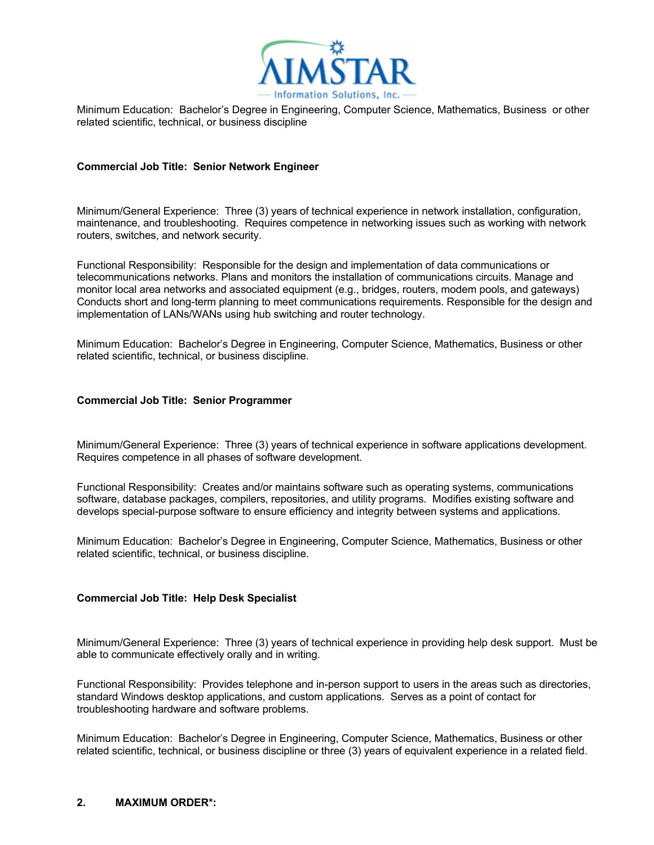

Minimum Education: Bachelor's Degree in Engineering, Computer Science, Mathematics, Business or other related scientific, technical, or business discipline

## **Commercial Job Title: Senior Network Engineer**

Minimum/General Experience: Three (3) years of technical experience in network installation, configuration, maintenance, and troubleshooting. Requires competence in networking issues such as working with network routers, switches, and network security.

Functional Responsibility: Responsible for the design and implementation of data communications or telecommunications networks. Plans and monitors the installation of communications circuits. Manage and monitor local area networks and associated equipment (e.g., bridges, routers, modem pools, and gateways) Conducts short and long-term planning to meet communications requirements. Responsible for the design and implementation of LANs/WANs using hub switching and router technology.

Minimum Education: Bachelor's Degree in Engineering, Computer Science, Mathematics, Business or other related scientific, technical, or business discipline.

## **Commercial Job Title: Senior Programmer**

Minimum/General Experience: Three (3) years of technical experience in software applications development. Requires competence in all phases of software development.

Functional Responsibility: Creates and/or maintains software such as operating systems, communications software, database packages, compilers, repositories, and utility programs. Modifies existing software and develops special-purpose software to ensure efficiency and integrity between systems and applications.

Minimum Education: Bachelor's Degree in Engineering, Computer Science, Mathematics, Business or other related scientific, technical, or business discipline.

## **Commercial Job Title: Help Desk Specialist**

Minimum/General Experience: Three (3) years of technical experience in providing help desk support. Must be able to communicate effectively orally and in writing.

Functional Responsibility: Provides telephone and in-person support to users in the areas such as directories, standard Windows desktop applications, and custom applications. Serves as a point of contact for troubleshooting hardware and software problems.

Minimum Education: Bachelor's Degree in Engineering, Computer Science, Mathematics, Business or other related scientific, technical, or business discipline or three (3) years of equivalent experience in a related field.

#### **2. MAXIMUM ORDER\*:**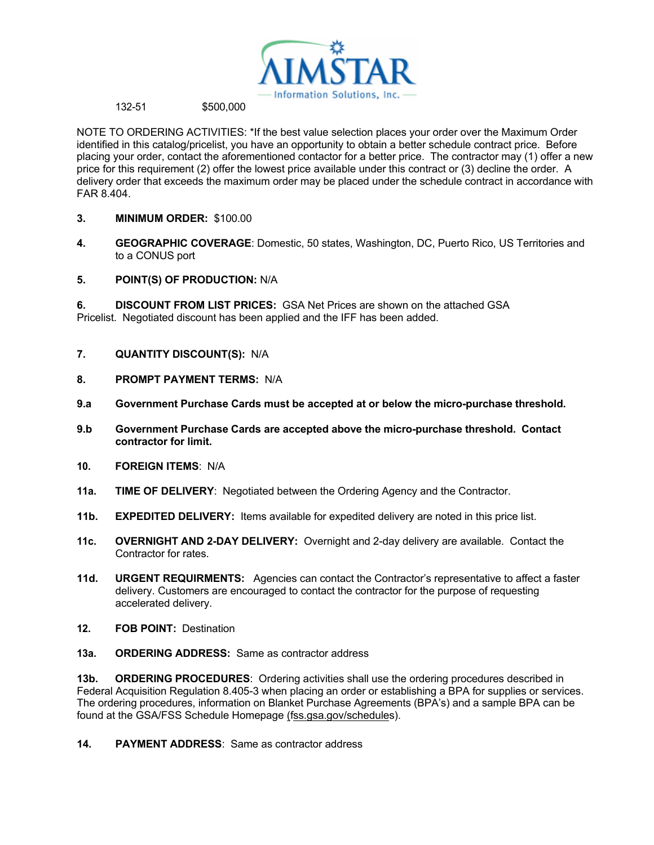

## 132-51 \$500,000

NOTE TO ORDERING ACTIVITIES: \*If the best value selection places your order over the Maximum Order identified in this catalog/pricelist, you have an opportunity to obtain a better schedule contract price. Before placing your order, contact the aforementioned contactor for a better price. The contractor may (1) offer a new price for this requirement (2) offer the lowest price available under this contract or (3) decline the order. A delivery order that exceeds the maximum order may be placed under the schedule contract in accordance with FAR 8.404.

- **3. MINIMUM ORDER:** \$100.00
- **4. GEOGRAPHIC COVERAGE**: Domestic, 50 states, Washington, DC, Puerto Rico, US Territories and to a CONUS port
- **5. POINT(S) OF PRODUCTION:** N/A

**6. DISCOUNT FROM LIST PRICES:** GSA Net Prices are shown on the attached GSA Pricelist. Negotiated discount has been applied and the IFF has been added.

- **7. QUANTITY DISCOUNT(S):** N/A
- **8. PROMPT PAYMENT TERMS:** N/A
- **9.a Government Purchase Cards must be accepted at or below the micro-purchase threshold.**
- **9.b Government Purchase Cards are accepted above the micro-purchase threshold. Contact contractor for limit.**
- **10. FOREIGN ITEMS**: N/A
- **11a. TIME OF DELIVERY**: Negotiated between the Ordering Agency and the Contractor.
- **11b. EXPEDITED DELIVERY:** Items available for expedited delivery are noted in this price list.
- **11c. OVERNIGHT AND 2-DAY DELIVERY:** Overnight and 2-day delivery are available. Contact the Contractor for rates.
- **11d. URGENT REQUIRMENTS:** Agencies can contact the Contractor's representative to affect a faster delivery. Customers are encouraged to contact the contractor for the purpose of requesting accelerated delivery.
- **12. FOB POINT:** Destination
- **13a. ORDERING ADDRESS:** Same as contractor address

**13b. ORDERING PROCEDURES:** Ordering activities shall use the ordering procedures described in Federal Acquisition Regulation 8.405-3 when placing an order or establishing a BPA for supplies or services. The ordering procedures, information on Blanket Purchase Agreements (BPA's) and a sample BPA can be found at the GSA/FSS Schedule Homepage (fss.gsa.gov/schedules).

**14. PAYMENT ADDRESS**: Same as contractor address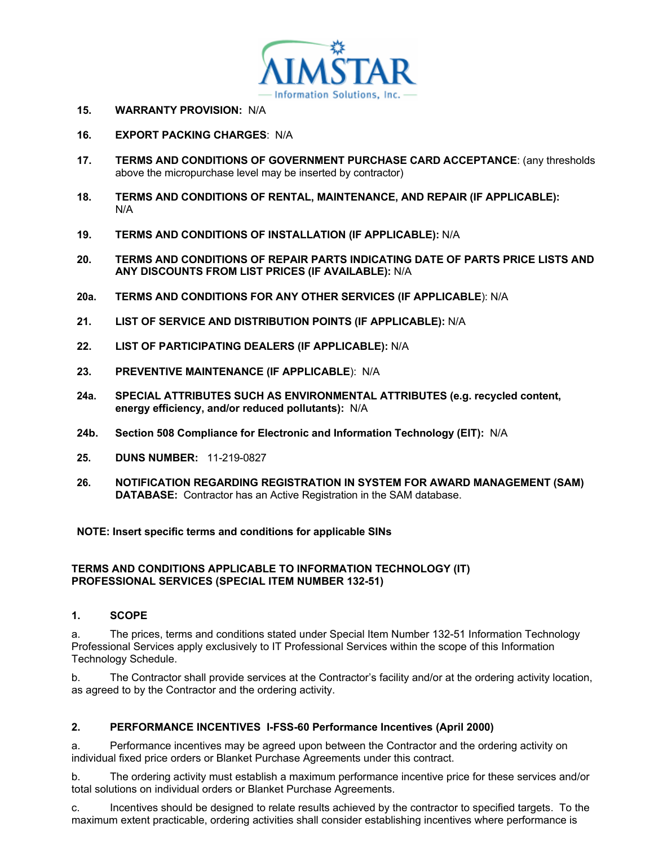

- **15. WARRANTY PROVISION:** N/A
- **16. EXPORT PACKING CHARGES**: N/A
- **17. TERMS AND CONDITIONS OF GOVERNMENT PURCHASE CARD ACCEPTANCE**: (any thresholds above the micropurchase level may be inserted by contractor)
- **18. TERMS AND CONDITIONS OF RENTAL, MAINTENANCE, AND REPAIR (IF APPLICABLE):** N/A
- **19. TERMS AND CONDITIONS OF INSTALLATION (IF APPLICABLE):** N/A
- **20. TERMS AND CONDITIONS OF REPAIR PARTS INDICATING DATE OF PARTS PRICE LISTS AND ANY DISCOUNTS FROM LIST PRICES (IF AVAILABLE):** N/A
- **20a. TERMS AND CONDITIONS FOR ANY OTHER SERVICES (IF APPLICABLE**): N/A
- **21. LIST OF SERVICE AND DISTRIBUTION POINTS (IF APPLICABLE):** N/A
- **22. LIST OF PARTICIPATING DEALERS (IF APPLICABLE):** N/A
- **23. PREVENTIVE MAINTENANCE (IF APPLICABLE**): N/A
- **24a. SPECIAL ATTRIBUTES SUCH AS ENVIRONMENTAL ATTRIBUTES (e.g. recycled content, energy efficiency, and/or reduced pollutants):** N/A
- **24b. Section 508 Compliance for Electronic and Information Technology (EIT):** N/A
- **25. DUNS NUMBER:** 11-219-0827
- **26. NOTIFICATION REGARDING REGISTRATION IN SYSTEM FOR AWARD MANAGEMENT (SAM) DATABASE:** Contractor has an Active Registration in the SAM database.

**NOTE: Insert specific terms and conditions for applicable SINs** 

## **TERMS AND CONDITIONS APPLICABLE TO INFORMATION TECHNOLOGY (IT) PROFESSIONAL SERVICES (SPECIAL ITEM NUMBER 132-51)**

## **1. SCOPE**

a. The prices, terms and conditions stated under Special Item Number 132-51 Information Technology Professional Services apply exclusively to IT Professional Services within the scope of this Information Technology Schedule.

b. The Contractor shall provide services at the Contractor's facility and/or at the ordering activity location, as agreed to by the Contractor and the ordering activity.

## **2. PERFORMANCE INCENTIVES I-FSS-60 Performance Incentives (April 2000)**

a. Performance incentives may be agreed upon between the Contractor and the ordering activity on individual fixed price orders or Blanket Purchase Agreements under this contract.

b. The ordering activity must establish a maximum performance incentive price for these services and/or total solutions on individual orders or Blanket Purchase Agreements.

c. Incentives should be designed to relate results achieved by the contractor to specified targets. To the maximum extent practicable, ordering activities shall consider establishing incentives where performance is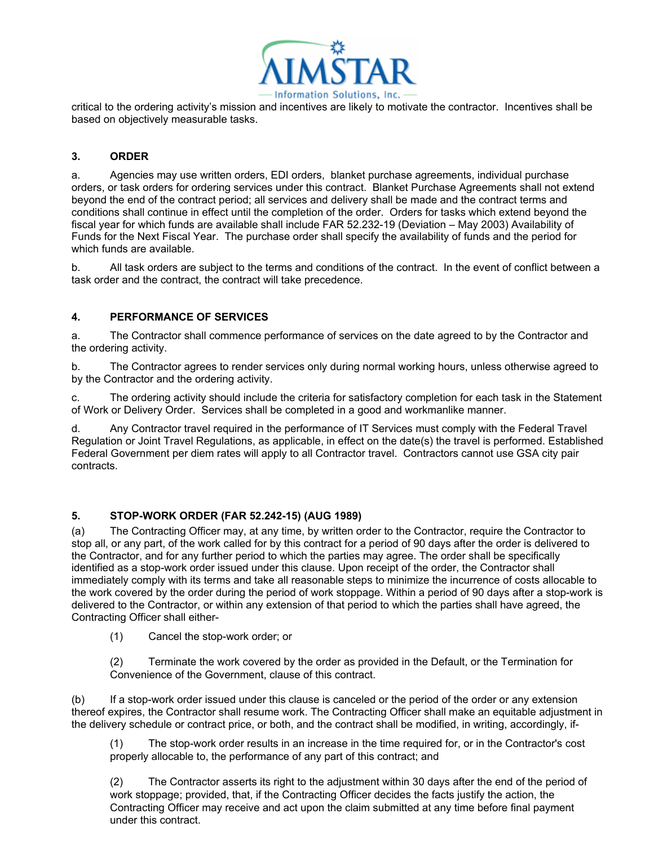

critical to the ordering activity's mission and incentives are likely to motivate the contractor. Incentives shall be based on objectively measurable tasks.

# **3. ORDER**

a. Agencies may use written orders, EDI orders, blanket purchase agreements, individual purchase orders, or task orders for ordering services under this contract. Blanket Purchase Agreements shall not extend beyond the end of the contract period; all services and delivery shall be made and the contract terms and conditions shall continue in effect until the completion of the order. Orders for tasks which extend beyond the fiscal year for which funds are available shall include FAR 52.232-19 (Deviation – May 2003) Availability of Funds for the Next Fiscal Year. The purchase order shall specify the availability of funds and the period for which funds are available.

b. All task orders are subject to the terms and conditions of the contract. In the event of conflict between a task order and the contract, the contract will take precedence.

# **4. PERFORMANCE OF SERVICES**

a. The Contractor shall commence performance of services on the date agreed to by the Contractor and the ordering activity.

b. The Contractor agrees to render services only during normal working hours, unless otherwise agreed to by the Contractor and the ordering activity.

c. The ordering activity should include the criteria for satisfactory completion for each task in the Statement of Work or Delivery Order. Services shall be completed in a good and workmanlike manner.

d. Any Contractor travel required in the performance of IT Services must comply with the Federal Travel Regulation or Joint Travel Regulations, as applicable, in effect on the date(s) the travel is performed. Established Federal Government per diem rates will apply to all Contractor travel. Contractors cannot use GSA city pair contracts.

# **5. STOP-WORK ORDER (FAR 52.242-15) (AUG 1989)**

(a) The Contracting Officer may, at any time, by written order to the Contractor, require the Contractor to stop all, or any part, of the work called for by this contract for a period of 90 days after the order is delivered to the Contractor, and for any further period to which the parties may agree. The order shall be specifically identified as a stop-work order issued under this clause. Upon receipt of the order, the Contractor shall immediately comply with its terms and take all reasonable steps to minimize the incurrence of costs allocable to the work covered by the order during the period of work stoppage. Within a period of 90 days after a stop-work is delivered to the Contractor, or within any extension of that period to which the parties shall have agreed, the Contracting Officer shall either-

(1) Cancel the stop-work order; or

(2) Terminate the work covered by the order as provided in the Default, or the Termination for Convenience of the Government, clause of this contract.

(b) If a stop-work order issued under this clause is canceled or the period of the order or any extension thereof expires, the Contractor shall resume work. The Contracting Officer shall make an equitable adjustment in the delivery schedule or contract price, or both, and the contract shall be modified, in writing, accordingly, if-

(1) The stop-work order results in an increase in the time required for, or in the Contractor's cost properly allocable to, the performance of any part of this contract; and

(2) The Contractor asserts its right to the adjustment within 30 days after the end of the period of work stoppage; provided, that, if the Contracting Officer decides the facts justify the action, the Contracting Officer may receive and act upon the claim submitted at any time before final payment under this contract.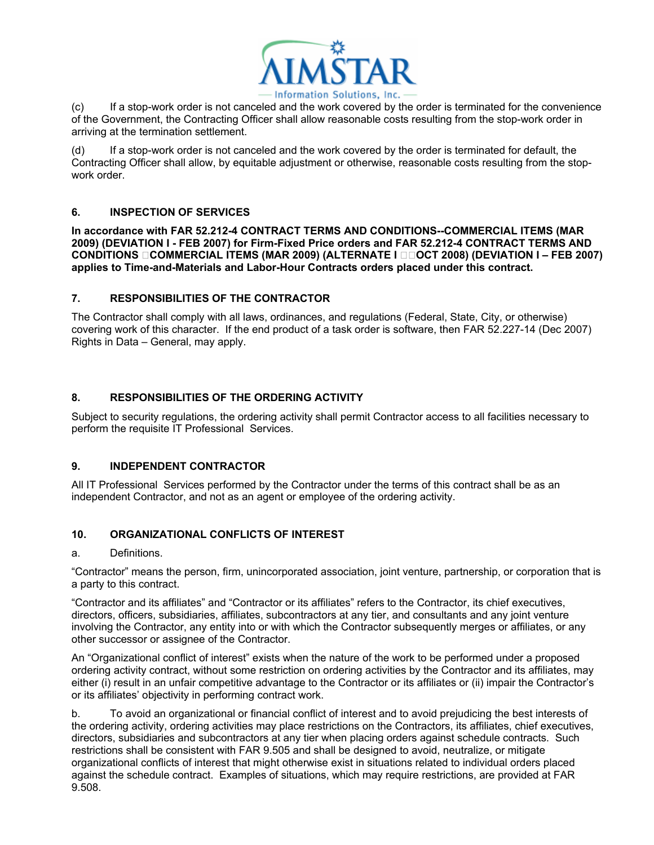

(c) If a stop-work order is not canceled and the work covered by the order is terminated for the convenience of the Government, the Contracting Officer shall allow reasonable costs resulting from the stop-work order in arriving at the termination settlement.

(d) If a stop-work order is not canceled and the work covered by the order is terminated for default, the Contracting Officer shall allow, by equitable adjustment or otherwise, reasonable costs resulting from the stopwork order.

# **6. INSPECTION OF SERVICES**

**In accordance with FAR 52.212-4 CONTRACT TERMS AND CONDITIONS--COMMERCIAL ITEMS (MAR 2009) (DEVIATION I - FEB 2007) for Firm-Fixed Price orders and FAR 52.212-4 CONTRACT TERMS AND CONDITIONS OCOMMERCIAL ITEMS (MAR 2009) (ALTERNATE I OOOCT 2008) (DEVIATION I – FEB 2007) applies to Time-and-Materials and Labor-Hour Contracts orders placed under this contract.** 

# **7. RESPONSIBILITIES OF THE CONTRACTOR**

The Contractor shall comply with all laws, ordinances, and regulations (Federal, State, City, or otherwise) covering work of this character. If the end product of a task order is software, then FAR 52.227-14 (Dec 2007) Rights in Data – General, may apply.

# **8. RESPONSIBILITIES OF THE ORDERING ACTIVITY**

Subject to security regulations, the ordering activity shall permit Contractor access to all facilities necessary to perform the requisite IT Professional Services.

## **9. INDEPENDENT CONTRACTOR**

All IT Professional Services performed by the Contractor under the terms of this contract shall be as an independent Contractor, and not as an agent or employee of the ordering activity.

# **10. ORGANIZATIONAL CONFLICTS OF INTEREST**

## a. Definitions.

"Contractor" means the person, firm, unincorporated association, joint venture, partnership, or corporation that is a party to this contract.

"Contractor and its affiliates" and "Contractor or its affiliates" refers to the Contractor, its chief executives, directors, officers, subsidiaries, affiliates, subcontractors at any tier, and consultants and any joint venture involving the Contractor, any entity into or with which the Contractor subsequently merges or affiliates, or any other successor or assignee of the Contractor.

An "Organizational conflict of interest" exists when the nature of the work to be performed under a proposed ordering activity contract, without some restriction on ordering activities by the Contractor and its affiliates, may either (i) result in an unfair competitive advantage to the Contractor or its affiliates or (ii) impair the Contractor's or its affiliates' objectivity in performing contract work.

b. To avoid an organizational or financial conflict of interest and to avoid prejudicing the best interests of the ordering activity, ordering activities may place restrictions on the Contractors, its affiliates, chief executives, directors, subsidiaries and subcontractors at any tier when placing orders against schedule contracts. Such restrictions shall be consistent with FAR 9.505 and shall be designed to avoid, neutralize, or mitigate organizational conflicts of interest that might otherwise exist in situations related to individual orders placed against the schedule contract. Examples of situations, which may require restrictions, are provided at FAR 9.508.